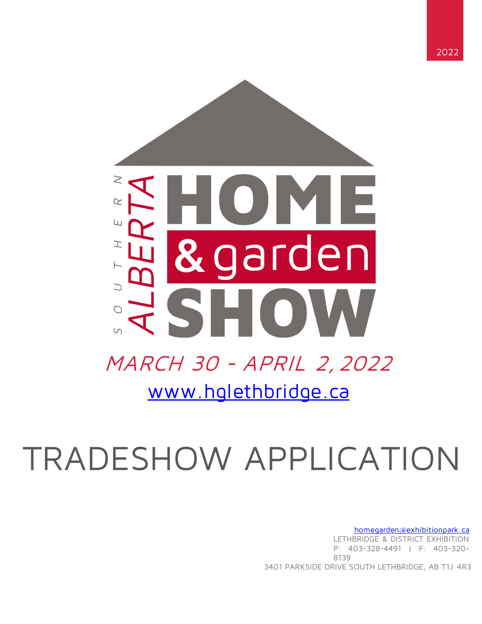

# TRADESHOW APPLICATION

homegarden@exhibitionpark.ca LETHBRIDGE & DISTRICT EXHIBITION P: 403-328-4491 | F: 403-320- 8139 3401 PARKSIDE DRIVE SOUTH LETHBRIDGE, AB T1J 4R3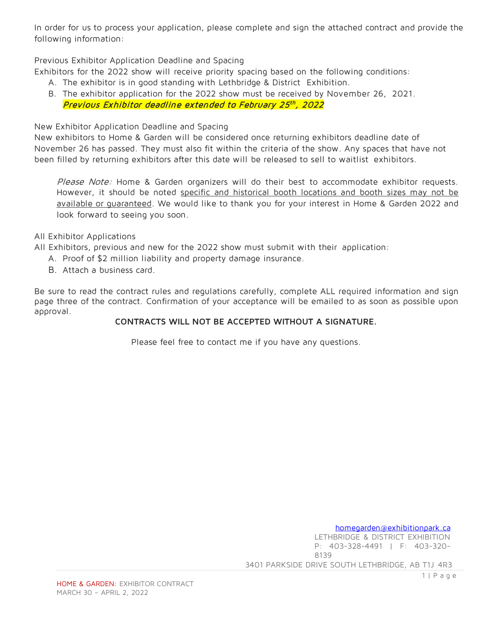In order for us to process your application, please complete and sign the attached contract and provide the following information:

Previous Exhibitor Application Deadline and Spacing

Exhibitors for the 2022 show will receive priority spacing based on the following conditions:

- A. The exhibitor is in good standing with Lethbridge & District Exhibition.
- B. The exhibitor application for the 2022 show must be received by November 26, 2021. Previous Exhibitor deadline extended to February 25<sup>th</sup>, 2022

New Exhibitor Application Deadline and Spacing

New exhibitors to Home & Garden will be considered once returning exhibitors deadline date of November 26 has passed. They must also fit within the criteria of the show. Any spaces that have not been filled by returning exhibitors after this date will be released to sell to waitlist exhibitors.

Please Note: Home & Garden organizers will do their best to accommodate exhibitor requests. However, it should be noted specific and historical booth locations and booth sizes may not be available or guaranteed. We would like to thank you for your interest in Home & Garden 2022 and look forward to seeing you soon.

### All Exhibitor Applications

All Exhibitors, previous and new for the 2022 show must submit with their application:

- A. Proof of \$2 million liability and property damage insurance.
- B. Attach a business card.

Be sure to read the contract rules and regulations carefully, complete ALL required information and sign page three of the contract. Confirmation of your acceptance will be emailed to as soon as possible upon approval.

### **CONTRACTS WILL NOT BE ACCEPTED WITHOUT A SIGNATURE.**

Please feel free to contact me if you have any questions.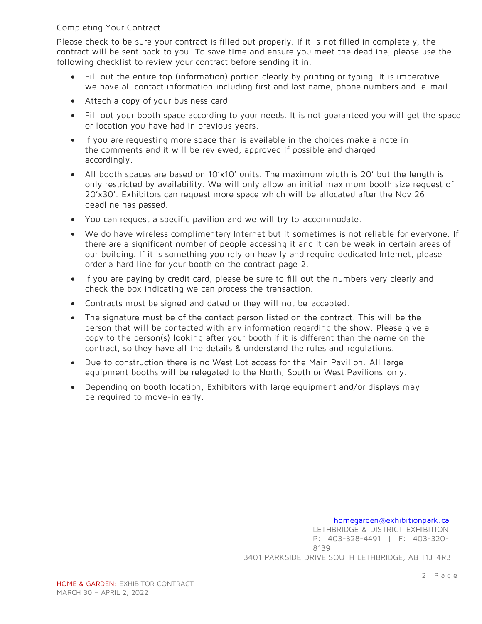### Completing Your Contract

Please check to be sure your contract is filled out properly. If it is not filled in completely, the contract will be sent back to you. To save time and ensure you meet the deadline, please use the following checklist to review your contract before sending it in.

- Fill out the entire top (information) portion clearly by printing or typing. It is imperative we have all contact information including first and last name, phone numbers and e-mail.
- Attach a copy of your business card.
- Fill out your booth space according to your needs. It is not guaranteed you will get the space or location you have had in previous years.
- If you are requesting more space than is available in the choices make a note in the comments and it will be reviewed, approved if possible and charged accordingly.
- All booth spaces are based on 10'x10' units. The maximum width is 20' but the length is only restricted by availability. We will only allow an initial maximum booth size request of 20'x30'. Exhibitors can request more space which will be allocated after the Nov 26 deadline has passed.
- You can request a specific pavilion and we will try to accommodate.
- We do have wireless complimentary Internet but it sometimes is not reliable for everyone. If there are a significant number of people accessing it and it can be weak in certain areas of our building. If it is something you rely on heavily and require dedicated Internet, please order a hard line for your booth on the contract page 2.
- If you are paying by credit card, please be sure to fill out the numbers very clearly and check the box indicating we can process the transaction.
- Contracts must be signed and dated or they will not be accepted.
- The signature must be of the contact person listed on the contract. This will be the person that will be contacted with any information regarding the show. Please give a copy to the person(s) looking after your booth if it is different than the name on the contract, so they have all the details & understand the rules and regulations.
- Due to construction there is no West Lot access for the Main Pavilion. All large equipment booths will be relegated to the North, South or West Pavilions only.
- Depending on booth location, Exhibitors with large equipment and/or displays may be required to move-in early.

# homegarden@exhibitionpark.ca

LETHBRIDGE & DISTRICT EXHIBITION P: 403-328-4491 | F: 403-320- 8139 3401 PARKSIDE DRIVE SOUTH LETHBRIDGE, AB T1J 4R3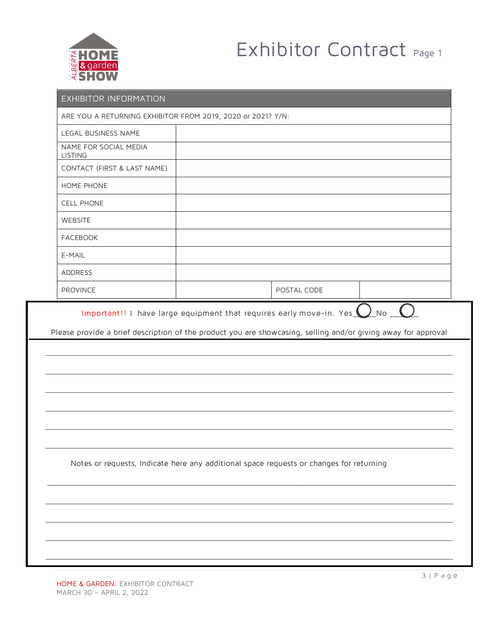

# Exhibitor Contract Page 1

| EXHIBITOR INFORMATION                                       |                                                                                                                                                                                                             |  |  |  |  |  |
|-------------------------------------------------------------|-------------------------------------------------------------------------------------------------------------------------------------------------------------------------------------------------------------|--|--|--|--|--|
| ARE YOU A RETURNING EXHIBITOR FROM 2019, 2020 or 2021? Y/N: |                                                                                                                                                                                                             |  |  |  |  |  |
| LEGAL BUSINESS NAME                                         |                                                                                                                                                                                                             |  |  |  |  |  |
| NAME FOR SOCIAL MEDIA<br><b>LISTING</b>                     |                                                                                                                                                                                                             |  |  |  |  |  |
| CONTACT (FIRST & LAST NAME)                                 |                                                                                                                                                                                                             |  |  |  |  |  |
| HOME PHONE                                                  |                                                                                                                                                                                                             |  |  |  |  |  |
| <b>CELL PHONE</b>                                           |                                                                                                                                                                                                             |  |  |  |  |  |
| WEBSITE                                                     |                                                                                                                                                                                                             |  |  |  |  |  |
| <b>FACEBOOK</b>                                             |                                                                                                                                                                                                             |  |  |  |  |  |
| E-MAIL                                                      |                                                                                                                                                                                                             |  |  |  |  |  |
| ADDRESS                                                     |                                                                                                                                                                                                             |  |  |  |  |  |
| PROVINCE                                                    | POSTAL CODE                                                                                                                                                                                                 |  |  |  |  |  |
|                                                             | Important!! I have large equipment that requires early move-in. Yes $\bigcup$ No $\bigcup$<br>Please provide a brief description of the product you are showcasing, selling and/or giving away for approval |  |  |  |  |  |
|                                                             |                                                                                                                                                                                                             |  |  |  |  |  |
|                                                             |                                                                                                                                                                                                             |  |  |  |  |  |
|                                                             | Notes or requests, Indicate here any additional space requests or changes for returning                                                                                                                     |  |  |  |  |  |
|                                                             |                                                                                                                                                                                                             |  |  |  |  |  |
|                                                             |                                                                                                                                                                                                             |  |  |  |  |  |
|                                                             |                                                                                                                                                                                                             |  |  |  |  |  |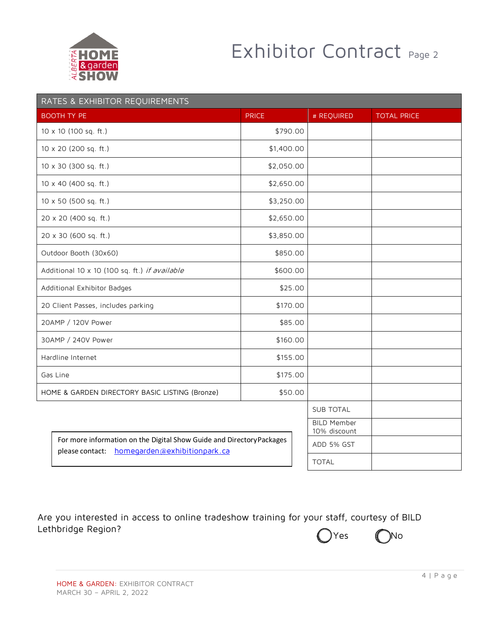

# Exhibitor Contract Page 2

|                                               | RATES & EXHIBITOR REQUIREMENTS                                                                                        |                                    |              |            |                    |
|-----------------------------------------------|-----------------------------------------------------------------------------------------------------------------------|------------------------------------|--------------|------------|--------------------|
|                                               | <b>BOOTH TY PE</b>                                                                                                    | <b>PRICE</b>                       |              | # REQUIRED | <b>TOTAL PRICE</b> |
|                                               | 10 x 10 (100 sq. ft.)                                                                                                 | \$790.00                           |              |            |                    |
|                                               | 10 x 20 (200 sq. ft.)                                                                                                 | \$1,400.00                         |              |            |                    |
|                                               | 10 x 30 (300 sq. ft.)                                                                                                 | \$2,050.00                         |              |            |                    |
|                                               | 10 x 40 (400 sq. ft.)                                                                                                 | \$2,650.00                         |              |            |                    |
|                                               | 10 x 50 (500 sq. ft.)                                                                                                 | \$3,250.00                         |              |            |                    |
|                                               | 20 x 20 (400 sq. ft.)                                                                                                 | \$2,650.00                         |              |            |                    |
|                                               | 20 x 30 (600 sq. ft.)                                                                                                 | \$3,850.00                         |              |            |                    |
|                                               | Outdoor Booth (30x60)                                                                                                 | \$850.00                           |              |            |                    |
| Additional 10 x 10 (100 sq. ft.) if available |                                                                                                                       | \$600.00                           |              |            |                    |
| Additional Exhibitor Badges                   |                                                                                                                       | \$25.00                            |              |            |                    |
|                                               | 20 Client Passes, includes parking                                                                                    | \$170.00                           |              |            |                    |
|                                               | 20AMP / 120V Power                                                                                                    | \$85.00                            |              |            |                    |
|                                               | 30AMP / 240V Power                                                                                                    | \$160.00                           |              |            |                    |
|                                               | Hardline Internet                                                                                                     | \$155.00                           |              |            |                    |
|                                               | Gas Line                                                                                                              | \$175.00                           |              |            |                    |
|                                               | HOME & GARDEN DIRECTORY BASIC LISTING (Bronze)                                                                        | \$50.00                            |              |            |                    |
|                                               |                                                                                                                       | <b>SUB TOTAL</b>                   |              |            |                    |
|                                               |                                                                                                                       | <b>BILD Member</b><br>10% discount |              |            |                    |
|                                               | For more information on the Digital Show Guide and Directory Packages<br>please contact: homegarden@exhibitionpark.ca |                                    | ADD 5% GST   |            |                    |
|                                               |                                                                                                                       |                                    | <b>TOTAL</b> |            |                    |

Are you interested in access to online tradeshow training for your staff, courtesy of BILD Lethbridge Region? Yes Mo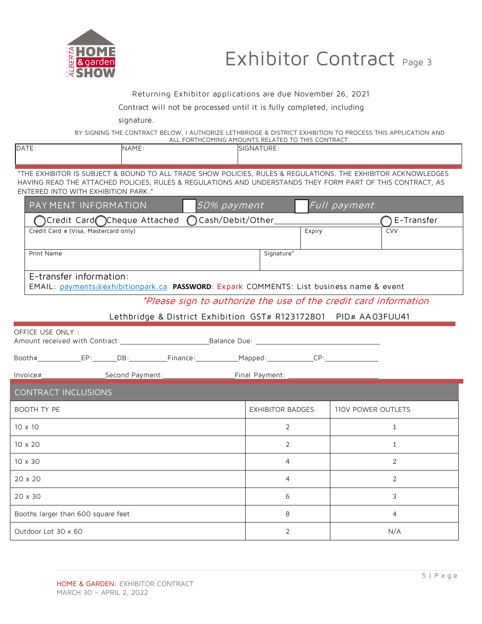

# Exhibitor Contract Page 3

#### Returning Exhibitor applications are due November 26, 2021

#### Contract will not be processed until it is fully completed, including

signature.

BY SIGNING THE CONTRACT BELOW, I AUTHORIZE LETHBRIDGE & DISTRICT EXHIBITION TO PROCESS THIS APPLICATION AND ALL FORTHCOMING AMOUNTS RELATED TO THIS CONTRACT.

| <b>DATE</b> | <b>NAME</b>                                                                                                         | <b>ISIGNATURE:</b> |  |
|-------------|---------------------------------------------------------------------------------------------------------------------|--------------------|--|
|             |                                                                                                                     |                    |  |
|             |                                                                                                                     |                    |  |
|             | "THE EVHIDITOD IS SHIP JECT & DOLININ TO ALL TRANE SHOW DOLICIES. DHILES & DECLILATIONS. THE EVHIDITOR ACKNOWLENCES |                    |  |

THE EXHIBITOR IS SUBJECT & BOUND TO ALL TRADE SHOW POLICIES, RULES & REGULATIONS. THE EXHIBITOR ACKNOWLEDGES HAVING READ THE ATTACHED POLICIES, RULES & REGULATIONS AND UNDERSTANDS THEY FORM PART OF THIS CONTRACT, AS ENTERED INTO WITH EXHIBITION PARK."

| PAY MENT INFORMATION<br>50% payment                                                                                |                         | Full payment       |  |  |  |  |
|--------------------------------------------------------------------------------------------------------------------|-------------------------|--------------------|--|--|--|--|
| Credit Card◯Cheque Attached<br>Cash/Debit/Other_<br>$\bigcirc$                                                     |                         | E-Transfer         |  |  |  |  |
| Credit Card # (Visa, Mastercard only)                                                                              | Expiry                  | <b>CVV</b>         |  |  |  |  |
| Print Name                                                                                                         | Signature*              |                    |  |  |  |  |
| E-transfer information:<br>EMAIL: payments@exhibitionpark.ca PASSWORD: Expark COMMENTS: List business name & event |                         |                    |  |  |  |  |
| *Please sign to authorize the use of the credit card information                                                   |                         |                    |  |  |  |  |
| Lethbridge & District Exhibition GST# R123172801 PID# AA03FUU41                                                    |                         |                    |  |  |  |  |
| OFFICE USE ONLY:                                                                                                   |                         |                    |  |  |  |  |
| Booth#_________________EP:__________DB:_____________Finance:________________Mapped:___________________________     |                         |                    |  |  |  |  |
|                                                                                                                    |                         |                    |  |  |  |  |
| <b>CONTRACT INCLUSIONS</b>                                                                                         |                         |                    |  |  |  |  |
| <b>BOOTH TY PE</b>                                                                                                 | <b>EXHIBITOR BADGES</b> | 110V POWER OUTLETS |  |  |  |  |
| 10 x 10                                                                                                            | 2                       | $\mathbf{1}$       |  |  |  |  |
| 10 x 20                                                                                                            | 2                       | $\mathbf{1}$       |  |  |  |  |
| $10 \times 30$                                                                                                     | 4                       | 2                  |  |  |  |  |
| 20 x 20                                                                                                            | 4                       | 2                  |  |  |  |  |
| 20 x 30                                                                                                            | 6                       | 3                  |  |  |  |  |
| Booths larger than 600 square feet                                                                                 | 8                       | 4                  |  |  |  |  |
| Outdoor Lot 30 x 60                                                                                                | 2                       | N/A                |  |  |  |  |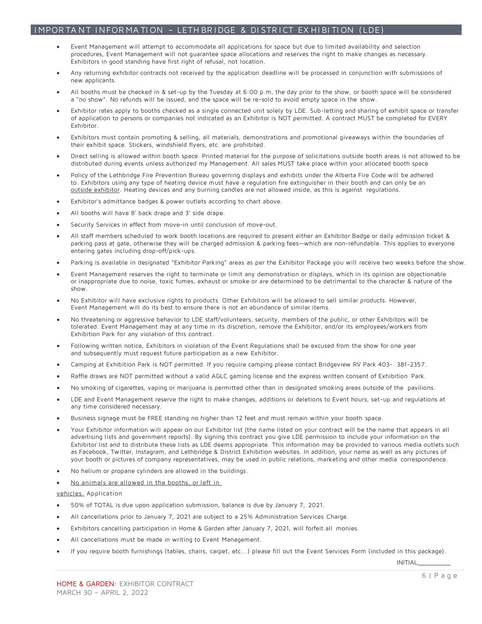#### IMPORTANT INFORMATION - LETH BRIDGE & DISTRICT EXHIBITION (LDE)

- Event Management will attempt to accommodate all applications for space but due to limited availability and selection procedures, Event Management will not guarantee space allocations and reserves the right to make changes as necessary. Exhibitors in good standing have first right of refusal, not location.
- Any returning exhibitor contracts not received by the application deadline will be processed in conjunction with submissions of new applicants.
- All booths must be checked in & set-up by the Tuesday at 6:00 p.m, the day prior to the show, or booth space will be considered a "no show". No refunds will be issued, and the space will be re-sold to avoid empty space in the show.
- Exhibitor rates apply to booths checked as a single connected unit solely by LDE. Sub-letting and sharing of exhibit space or transfer of application to persons or companies not indicated as an Exhibitor is NOT permitted. A contract MUST be completed for EVERY Exhibitor.
- Exhibitors must contain promoting & selling, all materials, demonstrations and promotional giveaways within the boundaries of their exhibit space. Stickers, windshield flyers, etc. are prohibited.
- Direct selling is allowed within booth space. Printed material for the purpose of solicitations outside booth areas is not allowed to be distributed during events unless authorized my Management. All sales MUST take place within your allocated booth space
- Policy of the Lethbridge Fire Prevention Bureau governing displays and exhibits under the Alberta Fire Code will be adhered to. Exhibitors using any type of heating device must have a regulation fire extinguisher in their booth and can only be an outside exhibitor. Heating devices and any burning candles are not allowed inside, as this is against regulations.
- Exhibitor's admittance badges & power outlets according to chart above.
- All booths will have 8' back drape and 3' side drape.
- Security Services in effect from move-in until conclusion of move-out.
- All staff members scheduled to work booth locations are required to present either an Exhibitor Badge or daily admission ticket & parking pass at gate, otherwise they will be charged admission & parking fees—which are non-refundable. This applies to everyone entering gates including drop-off/pick-ups.
- Parking is available in designated "Exhibitor Parking" areas as per the Exhibitor Package you will receive two weeks before the show.
- Event Management reserves the right to terminate or limit any demonstration or displays, which in its opinion are objectionable or inappropriate due to noise, toxic fumes, exhaust or smoke or are determined to be detrimental to the character & nature of the show.
- No Exhibitor will have exclusive rights to products. Other Exhibitors will be allowed to sell similar products. However, Event Management will do its best to ensure there is not an abundance of similar items.
- No threatening or aggressive behavior to LDE staff/volunteers, security, members of the public, or other Exhibitors will be tolerated. Event Management may at any time in its discretion, remove the Exhibitor, and/or its employees/workers from Exhibition Park for any violation of this contract.
- Following written notice, Exhibitors in violation of the Event Regulations shall be excused from the show for one year and subsequently must request future participation as a new Exhibitor.
- Camping at Exhibition Park is NOT permitted. If you require camping please contact Bridgeview RV Park 403- 381-2357.
- Raffle draws are NOT permitted without a valid AGLC gaming license and the express written consent of Exhibition Park.
- No smoking of cigarettes, vaping or marijuana is permitted other than in designated smoking areas outside of the pavilions.
- LDE and Event Management reserve the right to make changes, additions or deletions to Event hours, set-up and regulations at any time considered necessary.
- Business signage must be FREE standing no higher than 12 feet and must remain within your booth space.
- Your Exhibitor information will appear on our Exhibitor list (the name listed on your contract will be the name that appears in all advertising lists and government reports). By signing this contract you give LDE permission to include your information on the Exhibitor list and to distribute these lists as LDE deems appropriate. This information may be provided to various media outlets such as Facebook, Twitter, Instagram, and Lethbridge & District Exhibition websites. In addition, your name as well as any pictures of your booth or pictures of company representatives, may be used in public relations, marketing and other media correspondence.
- No helium or propane cylinders are allowed in the buildings.
- No animals are allowed in the booths, or left in

vehicles. Application

- 50% of TOTAL is due upon application submission, balance is due by January 7, 2021.
- All cancellations prior to January 7, 2021 are subject to a 25% Administration Services Charge.
- Exhibitors cancelling participation in Home & Garden after January 7, 2021, will forfeit all monies.
- All cancellations must be made in writing to Event Management.
- If you require booth furnishings (tables, chairs, carpet, etc...) please fill out the Event Services Form (included in this package).

INITIAL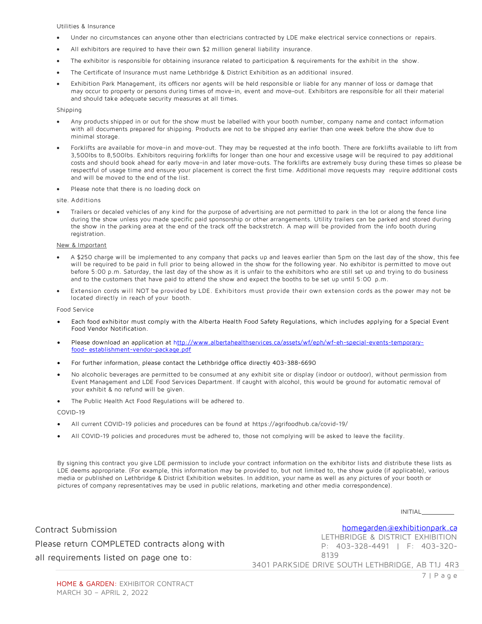Utilities & Insurance

- Under no circumstances can anyone other than electricians contracted by LDE make electrical service connections or repairs.
- All exhibitors are required to have their own \$2 million general liability insurance.
- The exhibitor is responsible for obtaining insurance related to participation & requirements for the exhibit in the show.
- The Certificate of Insurance must name Lethbridge & District Exhibition as an additional insured.
- Exhibition Park Management, its officers nor agents will be held responsible or liable for any manner of loss or damage that may occur to property or persons during times of move-in, event and move-out. Exhibitors are responsible for all their material and should take adequate security measures at all times.

#### Shipping

- Any products shipped in or out for the show must be labelled with your booth number, company name and contact information with all documents prepared for shipping. Products are not to be shipped any earlier than one week before the show due to minimal storage.
- Forklifts are available for move-in and move-out. They may be requested at the info booth. There are forklifts available to lift from 3,500lbs to 8,500lbs. Exhibitors requiring forklifts for longer than one hour and excessive usage will be required to pay additional costs and should book ahead for early move-in and later move-outs. The forklifts are extremely busy during these times so please be respectful of usage time and ensure your placement is correct the first time. Additional move requests may require additional costs and will be moved to the end of the list.
- Please note that there is no loading dock on

site. Additions

• Trailers or decaled vehicles of any kind for the purpose of advertising are not permitted to park in the lot or along the fence line during the show unless you made specific paid sponsorship or other arrangements. Utility trailers can be parked and stored during the show in the parking area at the end of the track off the backstretch. A map will be provided from the info booth during registration.

#### New & Important

- A \$250 charge will be implemented to any company that packs up and leaves earlier than 5pm on the last day of the show, this fee will be required to be paid in full prior to being allowed in the show for the following year. No exhibitor is permitted to move out before 5:00 p.m. Saturday, the last day of the show as it is unfair to the exhibitors who are still set up and trying to do business and to the customers that have paid to attend the show and expect the booths to be set up until 5:00 p.m.
- Extension cords will NOT be provided by LDE. Exhibitors must provide their own extension cords as the power may not be located directly in reach of your booth.

Food Service

- Each food exhibitor must comply with the Alberta Health Food Safety Regulations, which includes applying for a Special Event Food Vendor Notification.
- Please download an application at http://www.albertahealthservices.ca/assets/wf/eph/wf-eh-special-events-temporaryfood- establishment-vendor-package.pdf
- For further information, please contact the Lethbridge office directly 403-388-6690
- No alcoholic beverages are permitted to be consumed at any exhibit site or display (indoor or outdoor), without permission from Event Management and LDE Food Services Department. If caught with alcohol, this would be ground for automatic removal of your exhibit & no refund will be given.
- The Public Health Act Food Regulations will be adhered to.

COVID-19

- All current COVID-19 policies and procedures can be found at https://agrifoodhub.ca/covid-19/
- All COVID-19 policies and procedures must be adhered to, those not complying will be asked to leave the facility.

By signing this contract you give LDE permission to include your contract information on the exhibitor lists and distribute these lists as LDE deems appropriate. (For example, this information may be provided to, but not limited to, the show guide (if applicable), various media or published on Lethbridge & District Exhibition websites. In addition, your name as well as any pictures of your booth or pictures of company representatives may be used in public relations, marketing and other media correspondence).

INITIAL

homegarden@exhibitionpark.ca

Contract Submission Please return COMPLETED contracts along with all requirements listed on page one to:

LETHBRIDGE & DISTRICT EXHIBITION P: 403-328-4491 | F: 403-320- 8139

3401 PARKSIDE DRIVE SOUTH LETHBRIDGE, AB T1J 4R3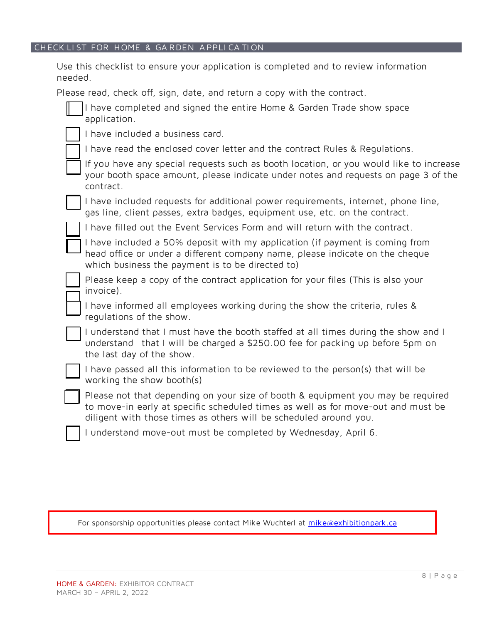# CHECK LIST FOR HOME & GARDEN APPLICATION

Use this checklist to ensure your application is completed and to review information needed.

Please read, check off, sign, date, and return a copy with the contract.

| I have completed and signed the entire Home & Garden Trade show space<br>application.                                                                                                                                                    |
|------------------------------------------------------------------------------------------------------------------------------------------------------------------------------------------------------------------------------------------|
| I have included a business card.                                                                                                                                                                                                         |
| I have read the enclosed cover letter and the contract Rules & Regulations.                                                                                                                                                              |
| If you have any special requests such as booth location, or you would like to increase<br>your booth space amount, please indicate under notes and requests on page 3 of the<br>contract.                                                |
| I have included requests for additional power requirements, internet, phone line,<br>gas line, client passes, extra badges, equipment use, etc. on the contract.                                                                         |
| I have filled out the Event Services Form and will return with the contract.                                                                                                                                                             |
| I have included a 50% deposit with my application (if payment is coming from<br>head office or under a different company name, please indicate on the cheque<br>which business the payment is to be directed to)                         |
| Please keep a copy of the contract application for your files (This is also your<br>invoice).                                                                                                                                            |
| I have informed all employees working during the show the criteria, rules &<br>regulations of the show.                                                                                                                                  |
| I understand that I must have the booth staffed at all times during the show and I<br>understand that I will be charged a \$250.00 fee for packing up before 5pm on<br>the last day of the show.                                         |
| I have passed all this information to be reviewed to the person(s) that will be<br>working the show booth(s)                                                                                                                             |
| Please not that depending on your size of booth & equipment you may be required<br>to move-in early at specific scheduled times as well as for move-out and must be<br>diligent with those times as others will be scheduled around you. |
| I understand move-out must be completed by Wednesday, April 6.                                                                                                                                                                           |

For sponsorship opportunities please contact Mike Wuchterl at mike@exhibitionpark.ca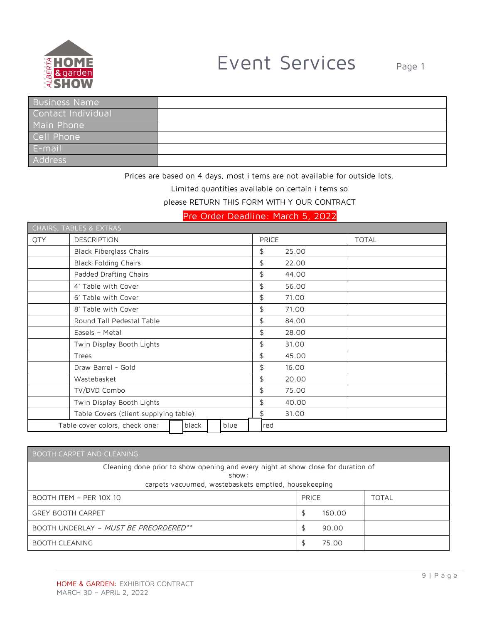

| Business Name      |  |
|--------------------|--|
| Contact Individual |  |
| Main Phone         |  |
| Cell Phone         |  |
| E-mail             |  |
| Address            |  |

Prices are based on 4 days, most i tems are not available for outside lots.

Limited quantities available on certain i tems so

please RETURN THIS FORM WITH Y OUR CONTRACT

Pre Order Deadline: March 5, 2022

|                                                 | CHAIRS, TABLES & EXTRAS               |              |       |              |
|-------------------------------------------------|---------------------------------------|--------------|-------|--------------|
| QTY                                             | <b>DESCRIPTION</b>                    | <b>PRICE</b> |       | <b>TOTAL</b> |
|                                                 | <b>Black Fiberglass Chairs</b>        | \$           | 25.00 |              |
|                                                 | <b>Black Folding Chairs</b>           | \$           | 22.00 |              |
|                                                 | Padded Drafting Chairs                | \$           | 44.00 |              |
|                                                 | 4' Table with Cover                   | \$           | 56.00 |              |
|                                                 | 6' Table with Cover                   | \$           | 71.00 |              |
|                                                 | 8' Table with Cover                   | \$           | 71.00 |              |
|                                                 | Round Tall Pedestal Table             | \$           | 84.00 |              |
|                                                 | Easels - Metal                        | \$           | 28.00 |              |
|                                                 | Twin Display Booth Lights             | \$           | 31.00 |              |
|                                                 | Trees                                 | \$           | 45.00 |              |
|                                                 | Draw Barrel - Gold                    | \$           | 16.00 |              |
|                                                 | Wastebasket                           | \$           | 20.00 |              |
|                                                 | TV/DVD Combo                          | \$           | 75.00 |              |
|                                                 | Twin Display Booth Lights             | \$           | 40.00 |              |
|                                                 | Table Covers (client supplying table) | \$           | 31.00 |              |
| Table cover colors, check one:<br>blue<br>black |                                       |              |       |              |

| <b>BOOTH CARPET AND CLEANING</b>                                                           |                                                      |              |  |  |  |  |  |
|--------------------------------------------------------------------------------------------|------------------------------------------------------|--------------|--|--|--|--|--|
| Cleaning done prior to show opening and every night at show close for duration of<br>show: |                                                      |              |  |  |  |  |  |
|                                                                                            | carpets vacuumed, wastebaskets emptied, housekeeping |              |  |  |  |  |  |
| BOOTH ITEM - PER 10X 10                                                                    | <b>PRICE</b>                                         | <b>TOTAL</b> |  |  |  |  |  |
| <b>GREY BOOTH CARPET</b>                                                                   | 160.00                                               |              |  |  |  |  |  |
| BOOTH UNDERLAY - MUST BE PREORDERED**                                                      | 90.00<br>S                                           |              |  |  |  |  |  |
| <b>BOOTH CLEANING</b>                                                                      | 75.00                                                |              |  |  |  |  |  |